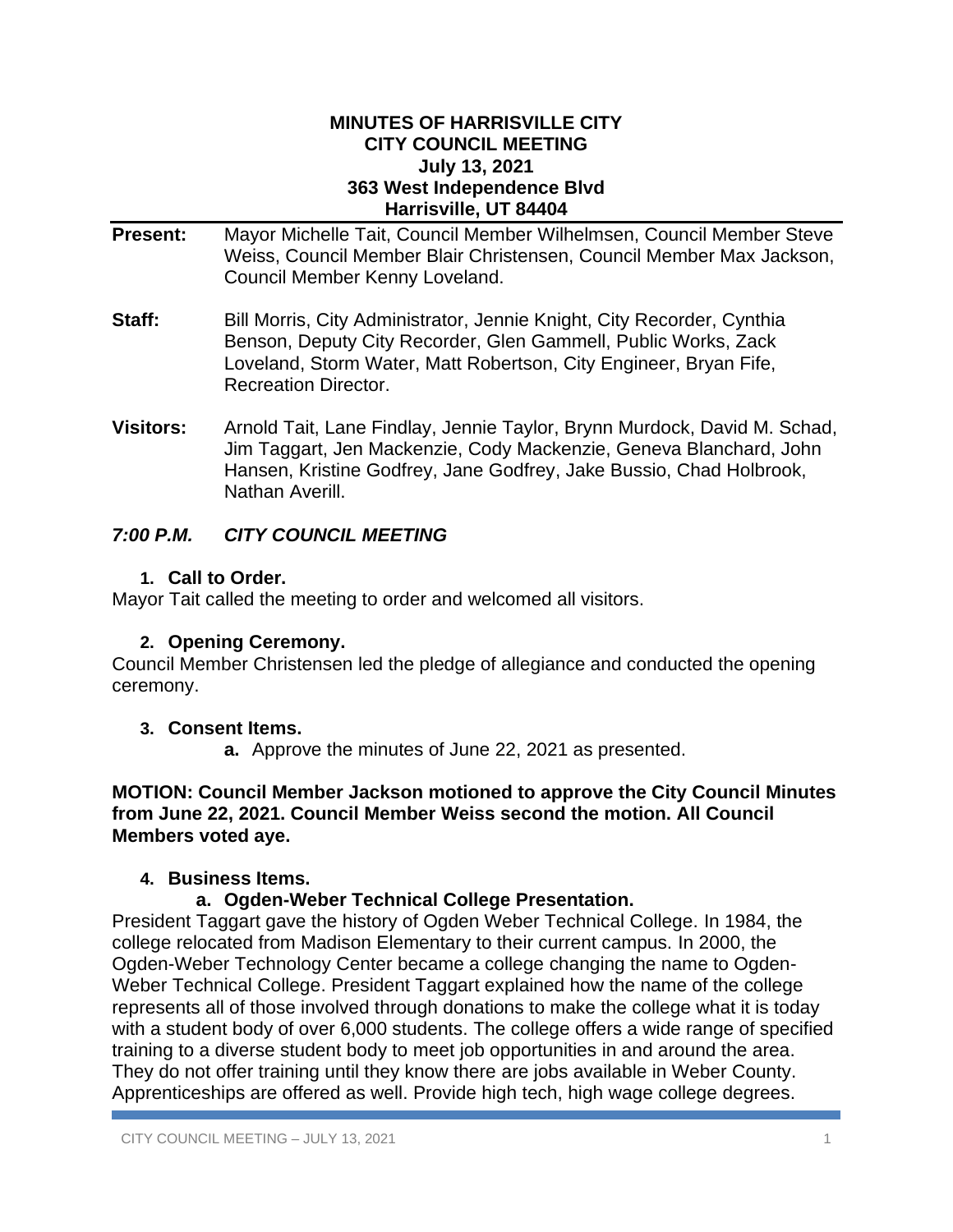#### **MINUTES OF HARRISVILLE CITY CITY COUNCIL MEETING July 13, 2021 363 West Independence Blvd Harrisville, UT 84404**

- **Present:** Mayor Michelle Tait, Council Member Wilhelmsen, Council Member Steve Weiss, Council Member Blair Christensen, Council Member Max Jackson, Council Member Kenny Loveland.
- **Staff:** Bill Morris, City Administrator, Jennie Knight, City Recorder, Cynthia Benson, Deputy City Recorder, Glen Gammell, Public Works, Zack Loveland, Storm Water, Matt Robertson, City Engineer, Bryan Fife, Recreation Director.
- **Visitors:** Arnold Tait, Lane Findlay, Jennie Taylor, Brynn Murdock, David M. Schad, Jim Taggart, Jen Mackenzie, Cody Mackenzie, Geneva Blanchard, John Hansen, Kristine Godfrey, Jane Godfrey, Jake Bussio, Chad Holbrook, Nathan Averill.

## *7:00 P.M. CITY COUNCIL MEETING*

### **1. Call to Order.**

Mayor Tait called the meeting to order and welcomed all visitors.

## **2. Opening Ceremony.**

Council Member Christensen led the pledge of allegiance and conducted the opening ceremony.

## **3. Consent Items.**

**a.** Approve the minutes of June 22, 2021 as presented.

**MOTION: Council Member Jackson motioned to approve the City Council Minutes from June 22, 2021. Council Member Weiss second the motion. All Council Members voted aye.**

## **4. Business Items.**

## **a. Ogden-Weber Technical College Presentation.**

President Taggart gave the history of Ogden Weber Technical College. In 1984, the college relocated from Madison Elementary to their current campus. In 2000, the Ogden-Weber Technology Center became a college changing the name to Ogden-Weber Technical College. President Taggart explained how the name of the college represents all of those involved through donations to make the college what it is today with a student body of over 6,000 students. The college offers a wide range of specified training to a diverse student body to meet job opportunities in and around the area. They do not offer training until they know there are jobs available in Weber County. Apprenticeships are offered as well. Provide high tech, high wage college degrees.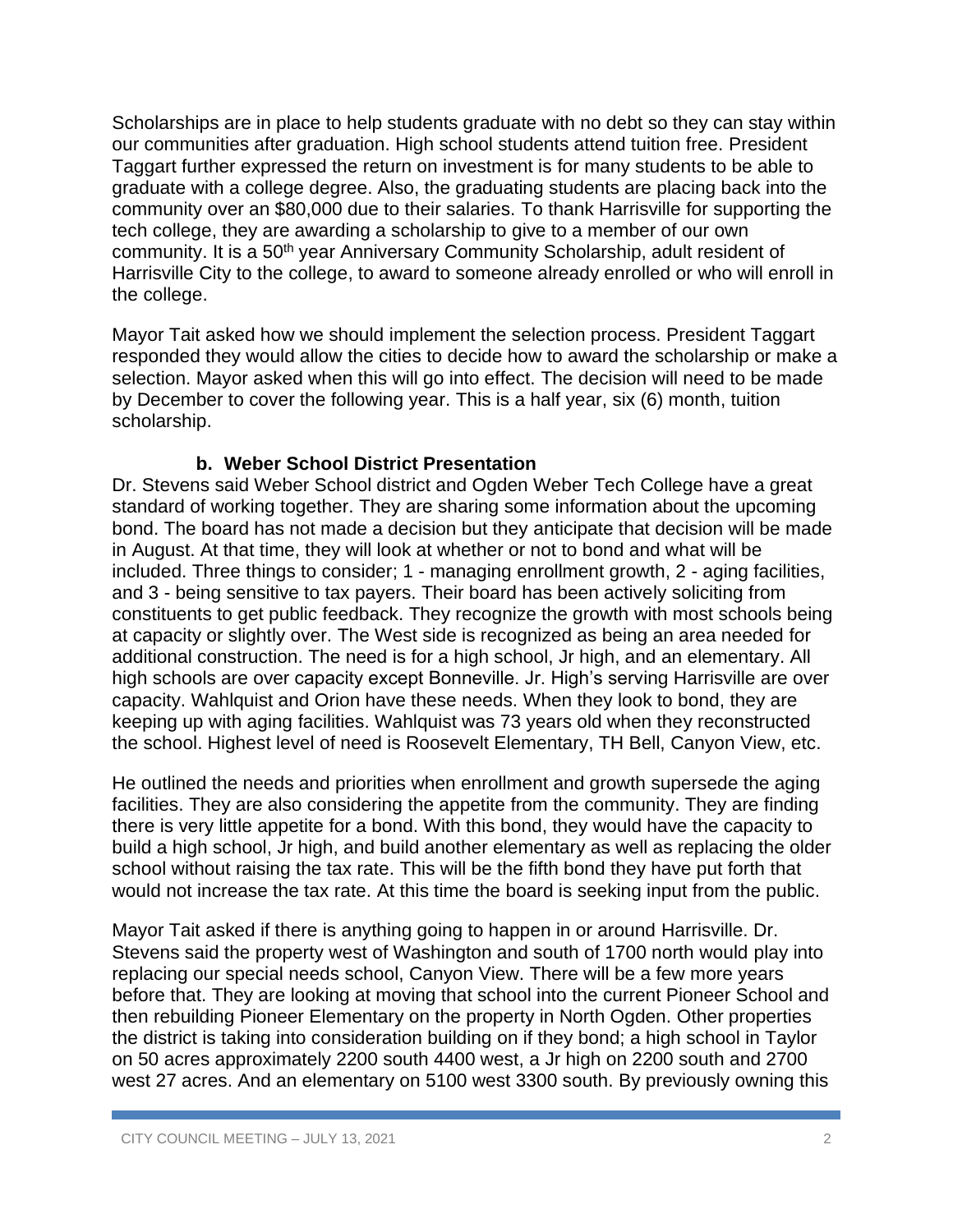Scholarships are in place to help students graduate with no debt so they can stay within our communities after graduation. High school students attend tuition free. President Taggart further expressed the return on investment is for many students to be able to graduate with a college degree. Also, the graduating students are placing back into the community over an \$80,000 due to their salaries. To thank Harrisville for supporting the tech college, they are awarding a scholarship to give to a member of our own community. It is a 50<sup>th</sup> year Anniversary Community Scholarship, adult resident of Harrisville City to the college, to award to someone already enrolled or who will enroll in the college.

Mayor Tait asked how we should implement the selection process. President Taggart responded they would allow the cities to decide how to award the scholarship or make a selection. Mayor asked when this will go into effect. The decision will need to be made by December to cover the following year. This is a half year, six (6) month, tuition scholarship.

### **b. Weber School District Presentation**

Dr. Stevens said Weber School district and Ogden Weber Tech College have a great standard of working together. They are sharing some information about the upcoming bond. The board has not made a decision but they anticipate that decision will be made in August. At that time, they will look at whether or not to bond and what will be included. Three things to consider; 1 - managing enrollment growth, 2 - aging facilities, and 3 - being sensitive to tax payers. Their board has been actively soliciting from constituents to get public feedback. They recognize the growth with most schools being at capacity or slightly over. The West side is recognized as being an area needed for additional construction. The need is for a high school, Jr high, and an elementary. All high schools are over capacity except Bonneville. Jr. High's serving Harrisville are over capacity. Wahlquist and Orion have these needs. When they look to bond, they are keeping up with aging facilities. Wahlquist was 73 years old when they reconstructed the school. Highest level of need is Roosevelt Elementary, TH Bell, Canyon View, etc.

He outlined the needs and priorities when enrollment and growth supersede the aging facilities. They are also considering the appetite from the community. They are finding there is very little appetite for a bond. With this bond, they would have the capacity to build a high school, Jr high, and build another elementary as well as replacing the older school without raising the tax rate. This will be the fifth bond they have put forth that would not increase the tax rate. At this time the board is seeking input from the public.

Mayor Tait asked if there is anything going to happen in or around Harrisville. Dr. Stevens said the property west of Washington and south of 1700 north would play into replacing our special needs school, Canyon View. There will be a few more years before that. They are looking at moving that school into the current Pioneer School and then rebuilding Pioneer Elementary on the property in North Ogden. Other properties the district is taking into consideration building on if they bond; a high school in Taylor on 50 acres approximately 2200 south 4400 west, a Jr high on 2200 south and 2700 west 27 acres. And an elementary on 5100 west 3300 south. By previously owning this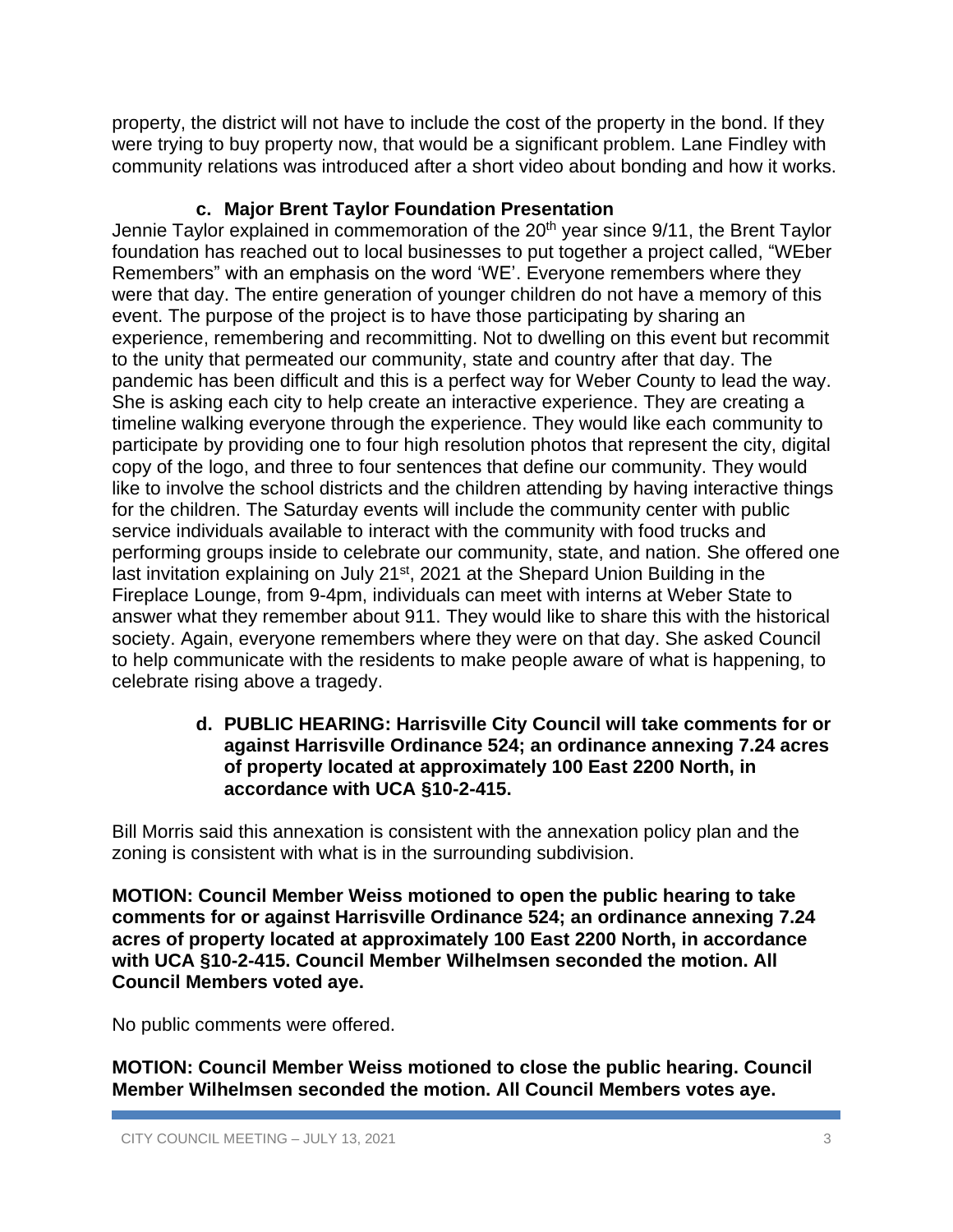property, the district will not have to include the cost of the property in the bond. If they were trying to buy property now, that would be a significant problem. Lane Findley with community relations was introduced after a short video about bonding and how it works.

# **c. Major Brent Taylor Foundation Presentation**

Jennie Taylor explained in commemoration of the 20<sup>th</sup> year since 9/11, the Brent Taylor foundation has reached out to local businesses to put together a project called, "WEber Remembers" with an emphasis on the word 'WE'. Everyone remembers where they were that day. The entire generation of younger children do not have a memory of this event. The purpose of the project is to have those participating by sharing an experience, remembering and recommitting. Not to dwelling on this event but recommit to the unity that permeated our community, state and country after that day. The pandemic has been difficult and this is a perfect way for Weber County to lead the way. She is asking each city to help create an interactive experience. They are creating a timeline walking everyone through the experience. They would like each community to participate by providing one to four high resolution photos that represent the city, digital copy of the logo, and three to four sentences that define our community. They would like to involve the school districts and the children attending by having interactive things for the children. The Saturday events will include the community center with public service individuals available to interact with the community with food trucks and performing groups inside to celebrate our community, state, and nation. She offered one last invitation explaining on July 21<sup>st</sup>, 2021 at the Shepard Union Building in the Fireplace Lounge, from 9-4pm, individuals can meet with interns at Weber State to answer what they remember about 911. They would like to share this with the historical society. Again, everyone remembers where they were on that day. She asked Council to help communicate with the residents to make people aware of what is happening, to celebrate rising above a tragedy.

#### **d. PUBLIC HEARING: Harrisville City Council will take comments for or against Harrisville Ordinance 524; an ordinance annexing 7.24 acres of property located at approximately 100 East 2200 North, in accordance with UCA §10-2-415.**

Bill Morris said this annexation is consistent with the annexation policy plan and the zoning is consistent with what is in the surrounding subdivision.

**MOTION: Council Member Weiss motioned to open the public hearing to take comments for or against Harrisville Ordinance 524; an ordinance annexing 7.24 acres of property located at approximately 100 East 2200 North, in accordance with UCA §10-2-415. Council Member Wilhelmsen seconded the motion. All Council Members voted aye.**

No public comments were offered.

**MOTION: Council Member Weiss motioned to close the public hearing. Council Member Wilhelmsen seconded the motion. All Council Members votes aye.**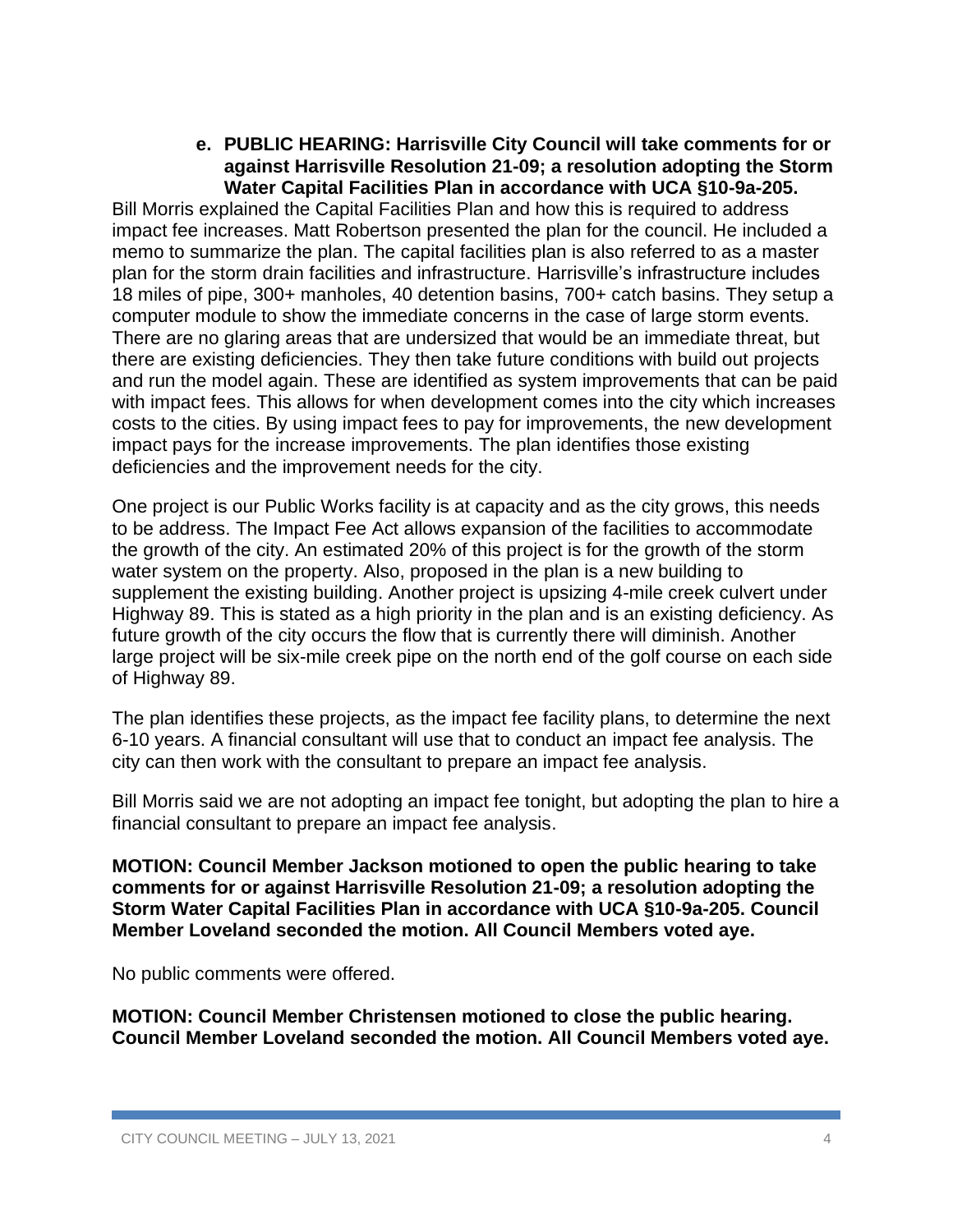#### **e. PUBLIC HEARING: Harrisville City Council will take comments for or against Harrisville Resolution 21-09; a resolution adopting the Storm Water Capital Facilities Plan in accordance with UCA §10-9a-205.**

Bill Morris explained the Capital Facilities Plan and how this is required to address impact fee increases. Matt Robertson presented the plan for the council. He included a memo to summarize the plan. The capital facilities plan is also referred to as a master plan for the storm drain facilities and infrastructure. Harrisville's infrastructure includes 18 miles of pipe, 300+ manholes, 40 detention basins, 700+ catch basins. They setup a computer module to show the immediate concerns in the case of large storm events. There are no glaring areas that are undersized that would be an immediate threat, but there are existing deficiencies. They then take future conditions with build out projects and run the model again. These are identified as system improvements that can be paid with impact fees. This allows for when development comes into the city which increases costs to the cities. By using impact fees to pay for improvements, the new development impact pays for the increase improvements. The plan identifies those existing deficiencies and the improvement needs for the city.

One project is our Public Works facility is at capacity and as the city grows, this needs to be address. The Impact Fee Act allows expansion of the facilities to accommodate the growth of the city. An estimated 20% of this project is for the growth of the storm water system on the property. Also, proposed in the plan is a new building to supplement the existing building. Another project is upsizing 4-mile creek culvert under Highway 89. This is stated as a high priority in the plan and is an existing deficiency. As future growth of the city occurs the flow that is currently there will diminish. Another large project will be six-mile creek pipe on the north end of the golf course on each side of Highway 89.

The plan identifies these projects, as the impact fee facility plans, to determine the next 6-10 years. A financial consultant will use that to conduct an impact fee analysis. The city can then work with the consultant to prepare an impact fee analysis.

Bill Morris said we are not adopting an impact fee tonight, but adopting the plan to hire a financial consultant to prepare an impact fee analysis.

**MOTION: Council Member Jackson motioned to open the public hearing to take comments for or against Harrisville Resolution 21-09; a resolution adopting the Storm Water Capital Facilities Plan in accordance with UCA §10-9a-205. Council Member Loveland seconded the motion. All Council Members voted aye.**

No public comments were offered.

**MOTION: Council Member Christensen motioned to close the public hearing. Council Member Loveland seconded the motion. All Council Members voted aye.**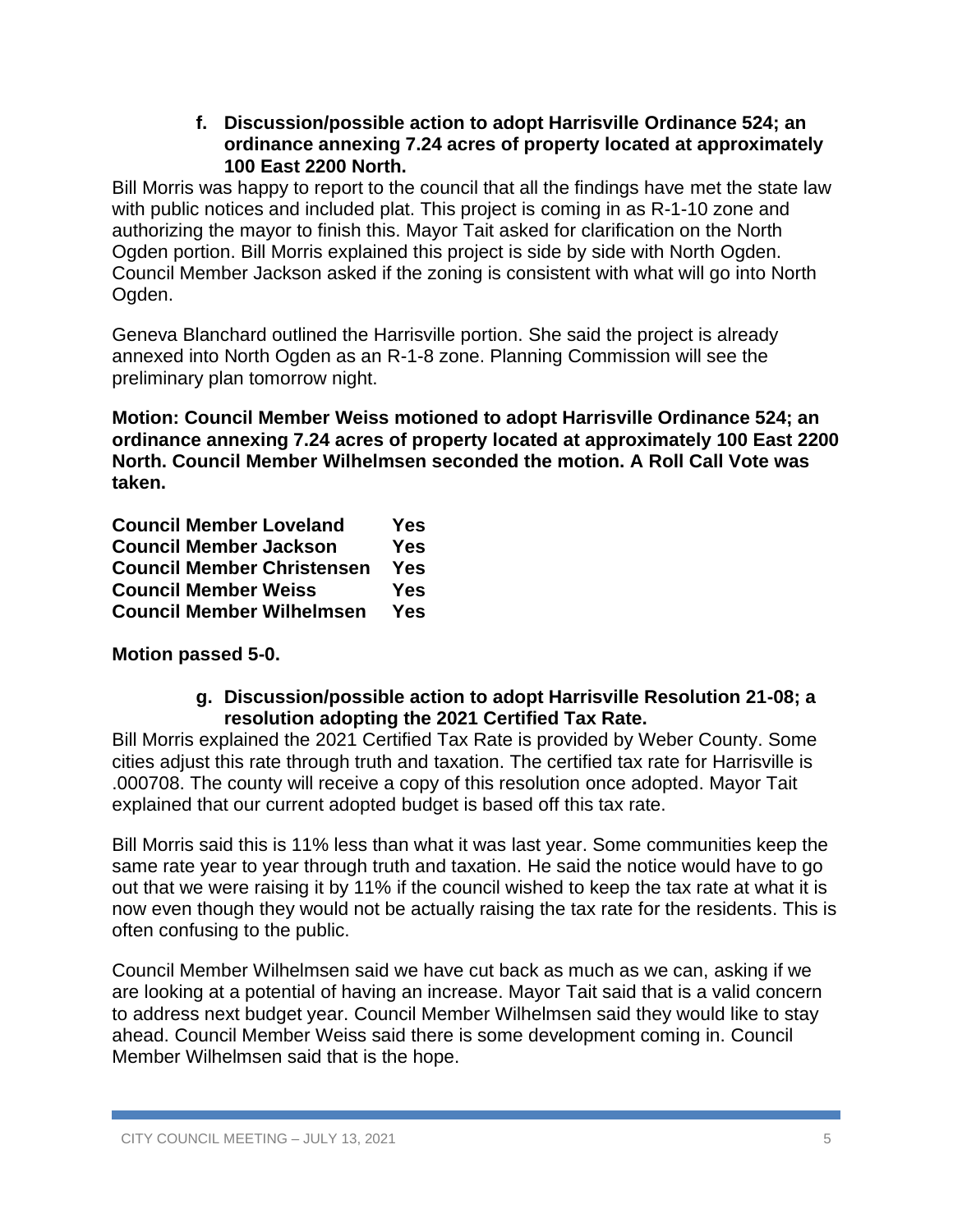#### **f. Discussion/possible action to adopt Harrisville Ordinance 524; an ordinance annexing 7.24 acres of property located at approximately 100 East 2200 North.**

Bill Morris was happy to report to the council that all the findings have met the state law with public notices and included plat. This project is coming in as R-1-10 zone and authorizing the mayor to finish this. Mayor Tait asked for clarification on the North Ogden portion. Bill Morris explained this project is side by side with North Ogden. Council Member Jackson asked if the zoning is consistent with what will go into North Ogden.

Geneva Blanchard outlined the Harrisville portion. She said the project is already annexed into North Ogden as an R-1-8 zone. Planning Commission will see the preliminary plan tomorrow night.

**Motion: Council Member Weiss motioned to adopt Harrisville Ordinance 524; an ordinance annexing 7.24 acres of property located at approximately 100 East 2200 North. Council Member Wilhelmsen seconded the motion. A Roll Call Vote was taken.**

| <b>Council Member Loveland</b>    | Yes        |
|-----------------------------------|------------|
| <b>Council Member Jackson</b>     | <b>Yes</b> |
| <b>Council Member Christensen</b> | <b>Yes</b> |
| <b>Council Member Weiss</b>       | Yes        |
| <b>Council Member Wilhelmsen</b>  | Yes        |

**Motion passed 5-0.**

### **g. Discussion/possible action to adopt Harrisville Resolution 21-08; a resolution adopting the 2021 Certified Tax Rate.**

Bill Morris explained the 2021 Certified Tax Rate is provided by Weber County. Some cities adjust this rate through truth and taxation. The certified tax rate for Harrisville is .000708. The county will receive a copy of this resolution once adopted. Mayor Tait explained that our current adopted budget is based off this tax rate.

Bill Morris said this is 11% less than what it was last year. Some communities keep the same rate year to year through truth and taxation. He said the notice would have to go out that we were raising it by 11% if the council wished to keep the tax rate at what it is now even though they would not be actually raising the tax rate for the residents. This is often confusing to the public.

Council Member Wilhelmsen said we have cut back as much as we can, asking if we are looking at a potential of having an increase. Mayor Tait said that is a valid concern to address next budget year. Council Member Wilhelmsen said they would like to stay ahead. Council Member Weiss said there is some development coming in. Council Member Wilhelmsen said that is the hope.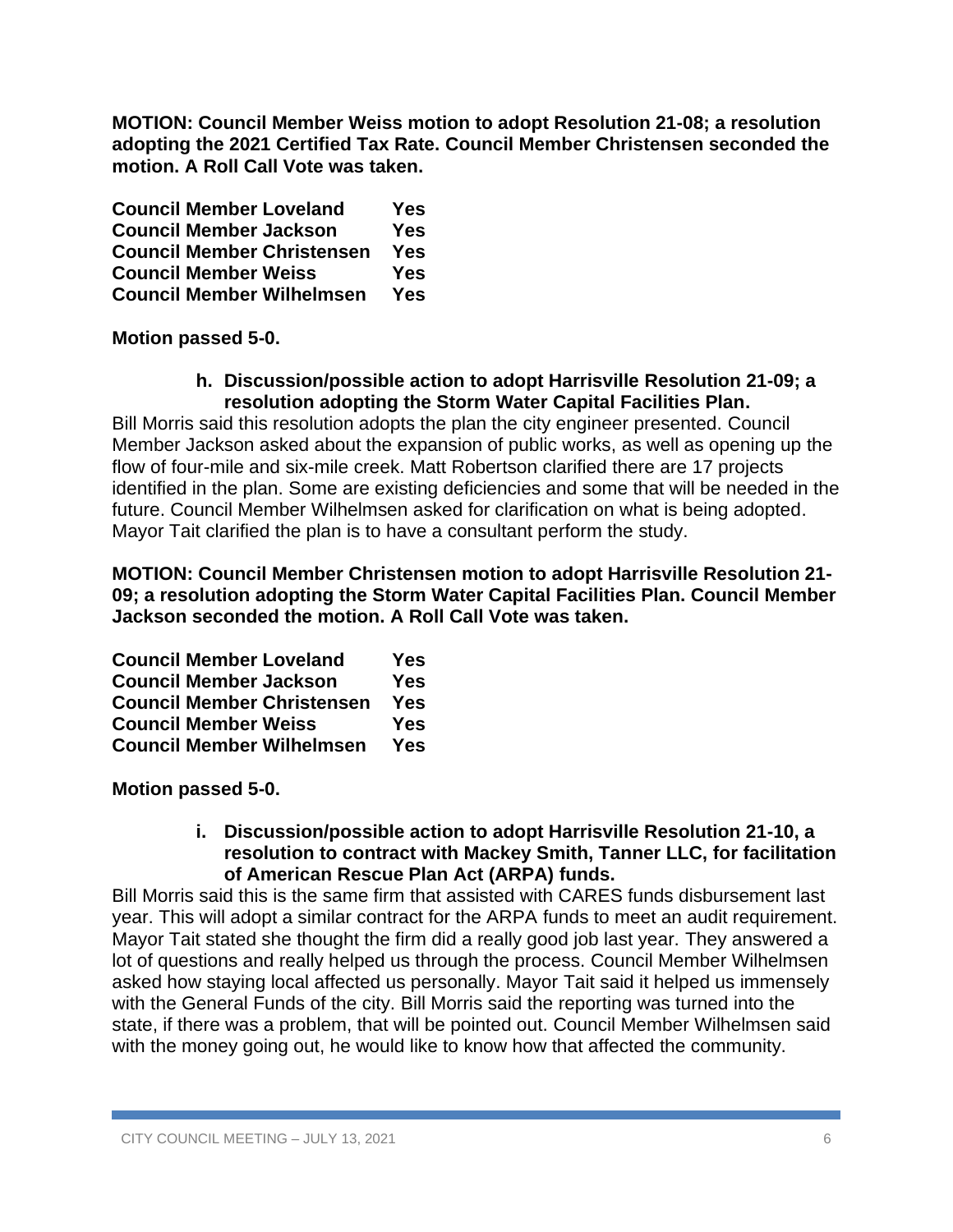**MOTION: Council Member Weiss motion to adopt Resolution 21-08; a resolution adopting the 2021 Certified Tax Rate. Council Member Christensen seconded the motion. A Roll Call Vote was taken.**

| <b>Council Member Loveland</b>    | Yes        |
|-----------------------------------|------------|
| <b>Council Member Jackson</b>     | Yes        |
| <b>Council Member Christensen</b> | <b>Yes</b> |
| <b>Council Member Weiss</b>       | Yes        |
| <b>Council Member Wilhelmsen</b>  | Yes        |

**Motion passed 5-0.**

**h. Discussion/possible action to adopt Harrisville Resolution 21-09; a resolution adopting the Storm Water Capital Facilities Plan.**

Bill Morris said this resolution adopts the plan the city engineer presented. Council Member Jackson asked about the expansion of public works, as well as opening up the flow of four-mile and six-mile creek. Matt Robertson clarified there are 17 projects identified in the plan. Some are existing deficiencies and some that will be needed in the future. Council Member Wilhelmsen asked for clarification on what is being adopted. Mayor Tait clarified the plan is to have a consultant perform the study.

**MOTION: Council Member Christensen motion to adopt Harrisville Resolution 21- 09; a resolution adopting the Storm Water Capital Facilities Plan. Council Member Jackson seconded the motion. A Roll Call Vote was taken.**

| <b>Council Member Loveland</b>    | Yes        |
|-----------------------------------|------------|
| <b>Council Member Jackson</b>     | <b>Yes</b> |
| <b>Council Member Christensen</b> | <b>Yes</b> |
| <b>Council Member Weiss</b>       | <b>Yes</b> |
| <b>Council Member Wilhelmsen</b>  | Yes        |

**Motion passed 5-0.**

### **i. Discussion/possible action to adopt Harrisville Resolution 21-10, a resolution to contract with Mackey Smith, Tanner LLC, for facilitation of American Rescue Plan Act (ARPA) funds.**

Bill Morris said this is the same firm that assisted with CARES funds disbursement last year. This will adopt a similar contract for the ARPA funds to meet an audit requirement. Mayor Tait stated she thought the firm did a really good job last year. They answered a lot of questions and really helped us through the process. Council Member Wilhelmsen asked how staying local affected us personally. Mayor Tait said it helped us immensely with the General Funds of the city. Bill Morris said the reporting was turned into the state, if there was a problem, that will be pointed out. Council Member Wilhelmsen said with the money going out, he would like to know how that affected the community.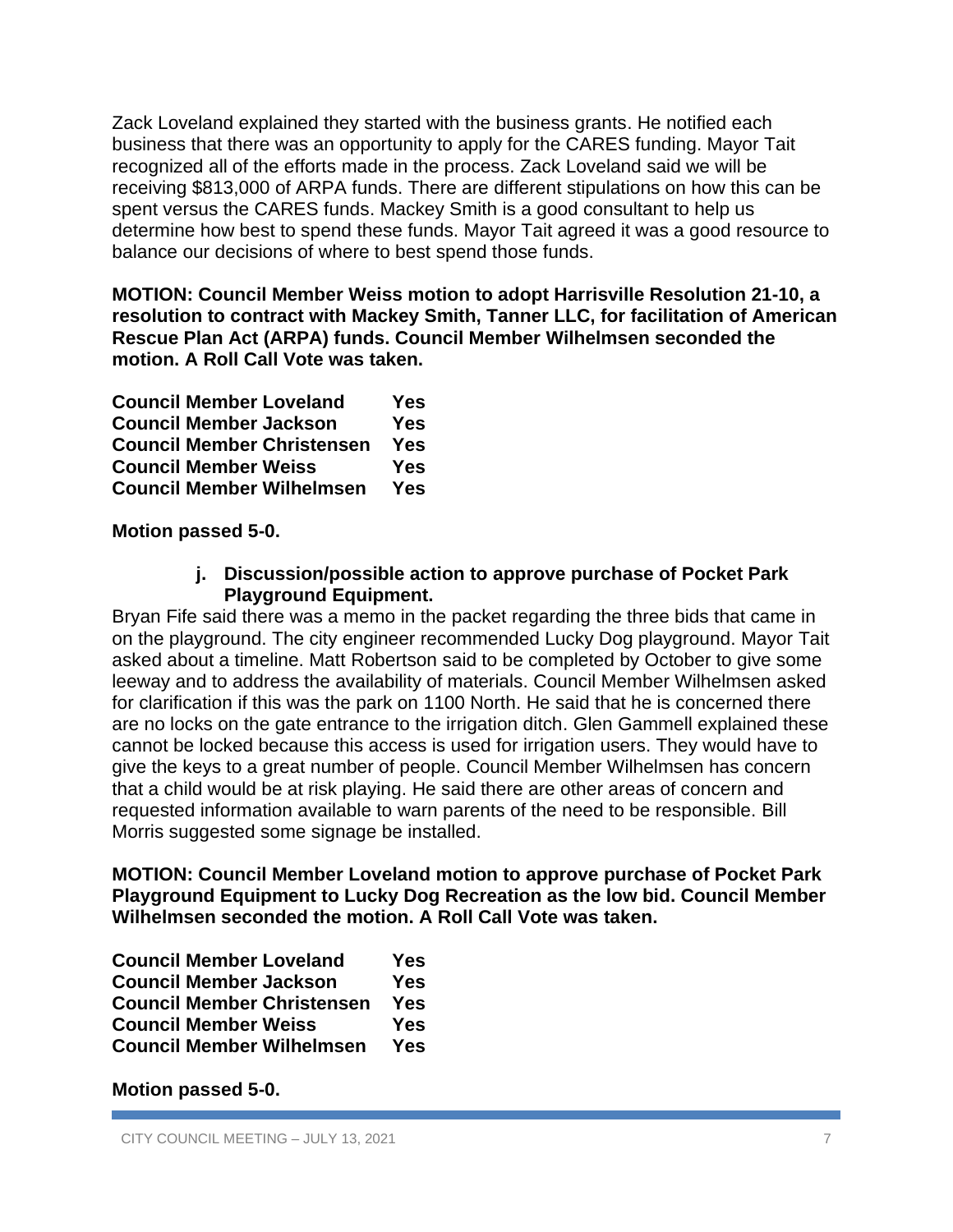Zack Loveland explained they started with the business grants. He notified each business that there was an opportunity to apply for the CARES funding. Mayor Tait recognized all of the efforts made in the process. Zack Loveland said we will be receiving \$813,000 of ARPA funds. There are different stipulations on how this can be spent versus the CARES funds. Mackey Smith is a good consultant to help us determine how best to spend these funds. Mayor Tait agreed it was a good resource to balance our decisions of where to best spend those funds.

**MOTION: Council Member Weiss motion to adopt Harrisville Resolution 21-10, a resolution to contract with Mackey Smith, Tanner LLC, for facilitation of American Rescue Plan Act (ARPA) funds. Council Member Wilhelmsen seconded the motion. A Roll Call Vote was taken.**

| <b>Council Member Loveland</b>    | Yes        |
|-----------------------------------|------------|
| <b>Council Member Jackson</b>     | <b>Yes</b> |
| <b>Council Member Christensen</b> | Yes        |
| <b>Council Member Weiss</b>       | <b>Yes</b> |
| <b>Council Member Wilhelmsen</b>  | Yes        |

**Motion passed 5-0.**

### **j. Discussion/possible action to approve purchase of Pocket Park Playground Equipment.**

Bryan Fife said there was a memo in the packet regarding the three bids that came in on the playground. The city engineer recommended Lucky Dog playground. Mayor Tait asked about a timeline. Matt Robertson said to be completed by October to give some leeway and to address the availability of materials. Council Member Wilhelmsen asked for clarification if this was the park on 1100 North. He said that he is concerned there are no locks on the gate entrance to the irrigation ditch. Glen Gammell explained these cannot be locked because this access is used for irrigation users. They would have to give the keys to a great number of people. Council Member Wilhelmsen has concern that a child would be at risk playing. He said there are other areas of concern and requested information available to warn parents of the need to be responsible. Bill Morris suggested some signage be installed.

**MOTION: Council Member Loveland motion to approve purchase of Pocket Park Playground Equipment to Lucky Dog Recreation as the low bid. Council Member Wilhelmsen seconded the motion. A Roll Call Vote was taken.**

| <b>Council Member Loveland</b>    | Yes        |
|-----------------------------------|------------|
| <b>Council Member Jackson</b>     | <b>Yes</b> |
| <b>Council Member Christensen</b> | <b>Yes</b> |
| <b>Council Member Weiss</b>       | <b>Yes</b> |
| <b>Council Member Wilhelmsen</b>  | Yes        |

**Motion passed 5-0.**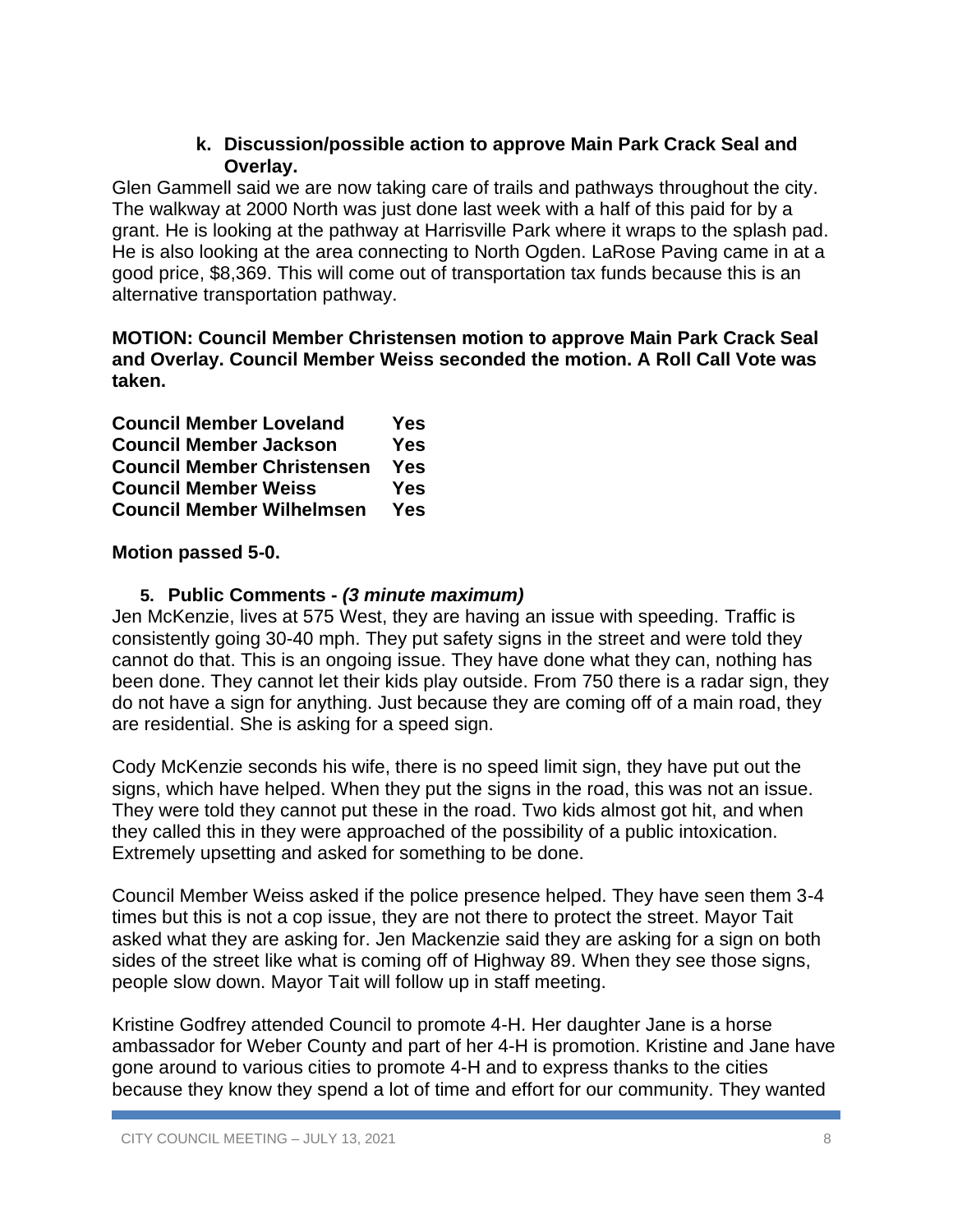### **k. Discussion/possible action to approve Main Park Crack Seal and Overlay.**

Glen Gammell said we are now taking care of trails and pathways throughout the city. The walkway at 2000 North was just done last week with a half of this paid for by a grant. He is looking at the pathway at Harrisville Park where it wraps to the splash pad. He is also looking at the area connecting to North Ogden. LaRose Paving came in at a good price, \$8,369. This will come out of transportation tax funds because this is an alternative transportation pathway.

**MOTION: Council Member Christensen motion to approve Main Park Crack Seal and Overlay. Council Member Weiss seconded the motion. A Roll Call Vote was taken.**

| <b>Council Member Loveland</b>    | Yes        |
|-----------------------------------|------------|
| <b>Council Member Jackson</b>     | <b>Yes</b> |
| <b>Council Member Christensen</b> | <b>Yes</b> |
| <b>Council Member Weiss</b>       | Yes        |
| <b>Council Member Wilhelmsen</b>  | Yes        |

### **Motion passed 5-0.**

### **5. Public Comments -** *(3 minute maximum)*

Jen McKenzie, lives at 575 West, they are having an issue with speeding. Traffic is consistently going 30-40 mph. They put safety signs in the street and were told they cannot do that. This is an ongoing issue. They have done what they can, nothing has been done. They cannot let their kids play outside. From 750 there is a radar sign, they do not have a sign for anything. Just because they are coming off of a main road, they are residential. She is asking for a speed sign.

Cody McKenzie seconds his wife, there is no speed limit sign, they have put out the signs, which have helped. When they put the signs in the road, this was not an issue. They were told they cannot put these in the road. Two kids almost got hit, and when they called this in they were approached of the possibility of a public intoxication. Extremely upsetting and asked for something to be done.

Council Member Weiss asked if the police presence helped. They have seen them 3-4 times but this is not a cop issue, they are not there to protect the street. Mayor Tait asked what they are asking for. Jen Mackenzie said they are asking for a sign on both sides of the street like what is coming off of Highway 89. When they see those signs, people slow down. Mayor Tait will follow up in staff meeting.

Kristine Godfrey attended Council to promote 4-H. Her daughter Jane is a horse ambassador for Weber County and part of her 4-H is promotion. Kristine and Jane have gone around to various cities to promote 4-H and to express thanks to the cities because they know they spend a lot of time and effort for our community. They wanted